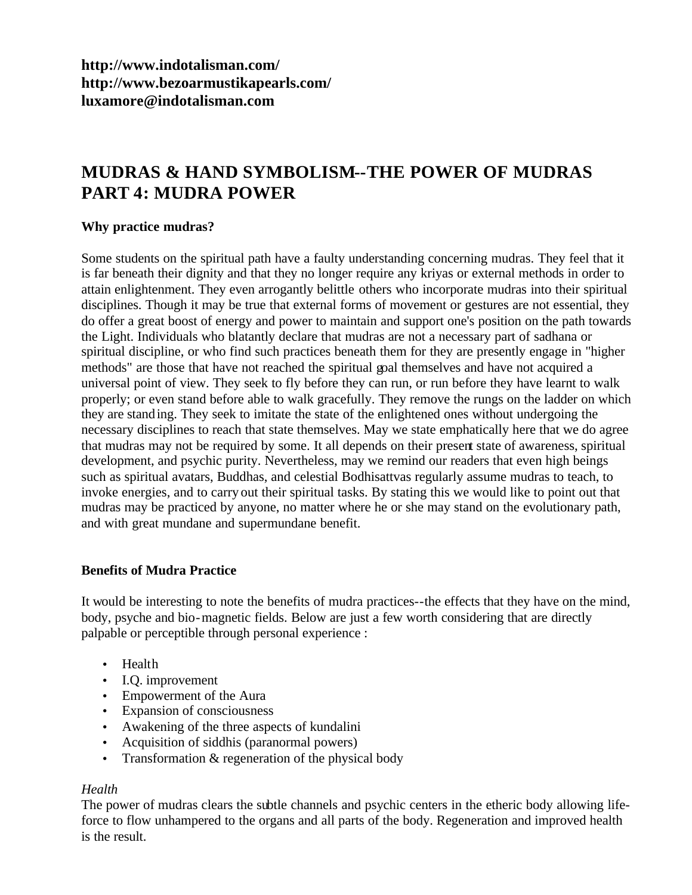**<http://www.indotalisman.com/> <http://www.bezoarmustikapearls.com/> luxamore@indotalisman.com**

# **MUDRAS & HAND SYMBOLISM--THE POWER OF MUDRAS PART 4: MUDRA POWER**

## **Why practice mudras?**

Some students on the spiritual path have a faulty understanding concerning mudras. They feel that it is far beneath their dignity and that they no longer require any kriyas or external methods in order to attain enlightenment. They even arrogantly belittle others who incorporate mudras into their spiritual disciplines. Though it may be true that external forms of movement or gestures are not essential, they do offer a great boost of energy and power to maintain and support one's position on the path towards the Light. Individuals who blatantly declare that mudras are not a necessary part of sadhana or spiritual discipline, or who find such practices beneath them for they are presently engage in "higher methods" are those that have not reached the spiritual goal themselves and have not acquired a universal point of view. They seek to fly before they can run, or run before they have learnt to walk properly; or even stand before able to walk gracefully. They remove the rungs on the ladder on which they are standing. They seek to imitate the state of the enlightened ones without undergoing the necessary disciplines to reach that state themselves. May we state emphatically here that we do agree that mudras may not be required by some. It all depends on their present state of awareness, spiritual development, and psychic purity. Nevertheless, may we remind our readers that even high beings such as spiritual avatars, Buddhas, and celestial Bodhisattvas regularly assume mudras to teach, to invoke energies, and to carry out their spiritual tasks. By stating this we would like to point out that mudras may be practiced by anyone, no matter where he or she may stand on the evolutionary path, and with great mundane and supermundane benefit.

#### **Benefits of Mudra Practice**

It would be interesting to note the benefits of mudra practices--the effects that they have on the mind, body, psyche and bio-magnetic fields. Below are just a few worth considering that are directly palpable or perceptible through personal experience :

- Health
- I.Q. improvement
- Empowerment of the Aura
- Expansion of consciousness
- Awakening of the three aspects of kundalini
- Acquisition of siddhis (paranormal powers)
- Transformation & regeneration of the physical body

# *Health*

The power of mudras clears the subtle channels and psychic centers in the etheric body allowing lifeforce to flow unhampered to the organs and all parts of the body. Regeneration and improved health is the result.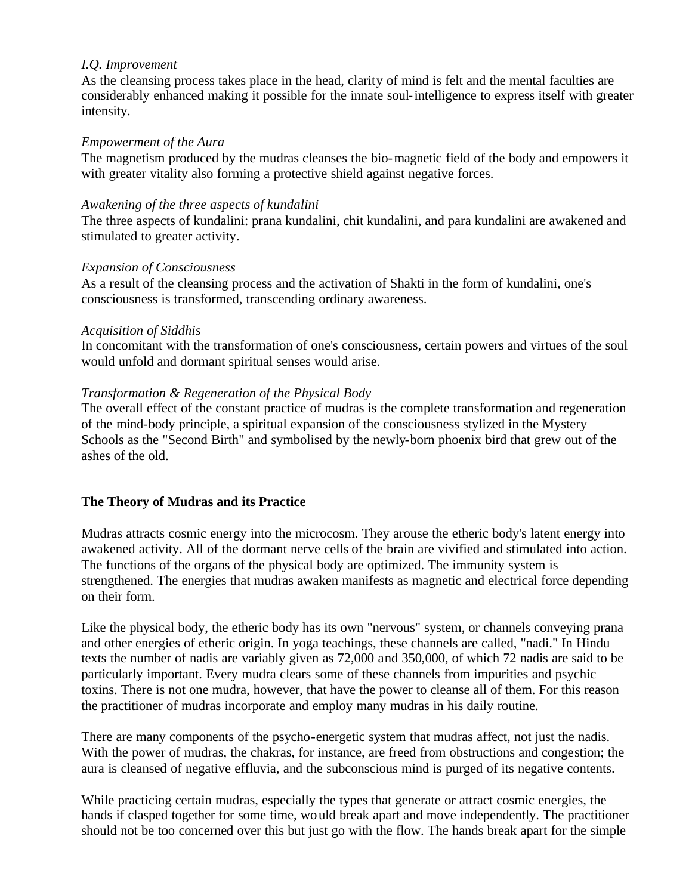#### *I.Q. Improvement*

As the cleansing process takes place in the head, clarity of mind is felt and the mental faculties are considerably enhanced making it possible for the innate soul-intelligence to express itself with greater intensity.

#### *Empowerment of the Aura*

The magnetism produced by the mudras cleanses the bio-magnetic field of the body and empowers it with greater vitality also forming a protective shield against negative forces.

## *Awakening of the three aspects of kundalini*

The three aspects of kundalini: prana kundalini, chit kundalini, and para kundalini are awakened and stimulated to greater activity.

## *Expansion of Consciousness*

As a result of the cleansing process and the activation of Shakti in the form of kundalini, one's consciousness is transformed, transcending ordinary awareness.

#### *Acquisition of Siddhis*

In concomitant with the transformation of one's consciousness, certain powers and virtues of the soul would unfold and dormant spiritual senses would arise.

# *Transformation & Regeneration of the Physical Body*

The overall effect of the constant practice of mudras is the complete transformation and regeneration of the mind-body principle, a spiritual expansion of the consciousness stylized in the Mystery Schools as the "Second Birth" and symbolised by the newly-born phoenix bird that grew out of the ashes of the old.

# **The Theory of Mudras and its Practice**

Mudras attracts cosmic energy into the microcosm. They arouse the etheric body's latent energy into awakened activity. All of the dormant nerve cells of the brain are vivified and stimulated into action. The functions of the organs of the physical body are optimized. The immunity system is strengthened. The energies that mudras awaken manifests as magnetic and electrical force depending on their form.

Like the physical body, the etheric body has its own "nervous" system, or channels conveying prana and other energies of etheric origin. In yoga teachings, these channels are called, "nadi." In Hindu texts the number of nadis are variably given as 72,000 and 350,000, of which 72 nadis are said to be particularly important. Every mudra clears some of these channels from impurities and psychic toxins. There is not one mudra, however, that have the power to cleanse all of them. For this reason the practitioner of mudras incorporate and employ many mudras in his daily routine.

There are many components of the psycho-energetic system that mudras affect, not just the nadis. With the power of mudras, the chakras, for instance, are freed from obstructions and congestion; the aura is cleansed of negative effluvia, and the subconscious mind is purged of its negative contents.

While practicing certain mudras, especially the types that generate or attract cosmic energies, the hands if clasped together for some time, would break apart and move independently. The practitioner should not be too concerned over this but just go with the flow. The hands break apart for the simple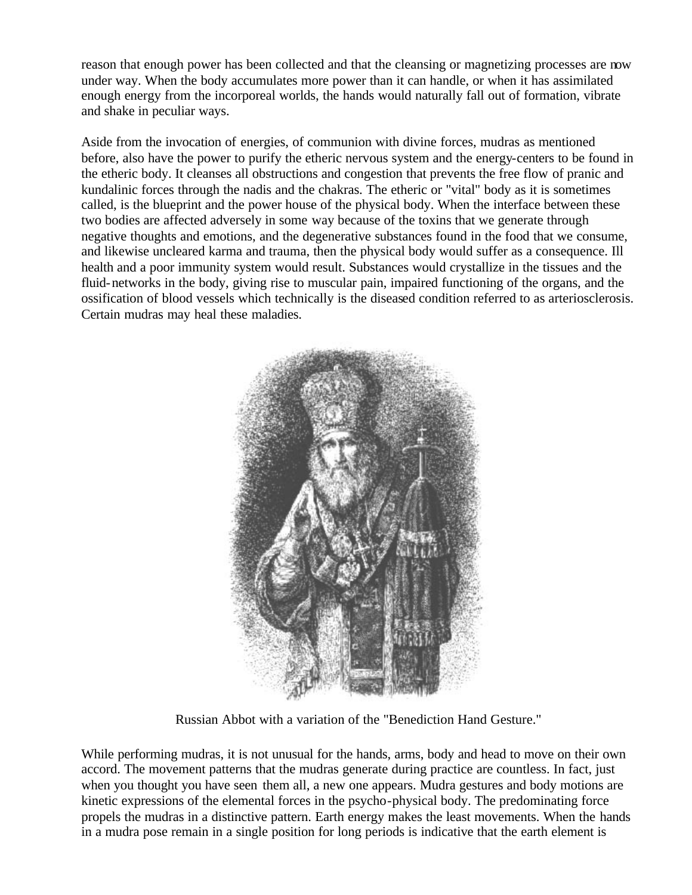reason that enough power has been collected and that the cleansing or magnetizing processes are now under way. When the body accumulates more power than it can handle, or when it has assimilated enough energy from the incorporeal worlds, the hands would naturally fall out of formation, vibrate and shake in peculiar ways.

Aside from the invocation of energies, of communion with divine forces, mudras as mentioned before, also have the power to purify the etheric nervous system and the energy-centers to be found in the etheric body. It cleanses all obstructions and congestion that prevents the free flow of pranic and kundalinic forces through the nadis and the chakras. The etheric or "vital" body as it is sometimes called, is the blueprint and the power house of the physical body. When the interface between these two bodies are affected adversely in some way because of the toxins that we generate through negative thoughts and emotions, and the degenerative substances found in the food that we consume, and likewise uncleared karma and trauma, then the physical body would suffer as a consequence. Ill health and a poor immunity system would result. Substances would crystallize in the tissues and the fluid-networks in the body, giving rise to muscular pain, impaired functioning of the organs, and the ossification of blood vessels which technically is the diseased condition referred to as arteriosclerosis. Certain mudras may heal these maladies.



Russian Abbot with a variation of the "Benediction Hand Gesture."

While performing mudras, it is not unusual for the hands, arms, body and head to move on their own accord. The movement patterns that the mudras generate during practice are countless. In fact, just when you thought you have seen them all, a new one appears. Mudra gestures and body motions are kinetic expressions of the elemental forces in the psycho-physical body. The predominating force propels the mudras in a distinctive pattern. Earth energy makes the least movements. When the hands in a mudra pose remain in a single position for long periods is indicative that the earth element is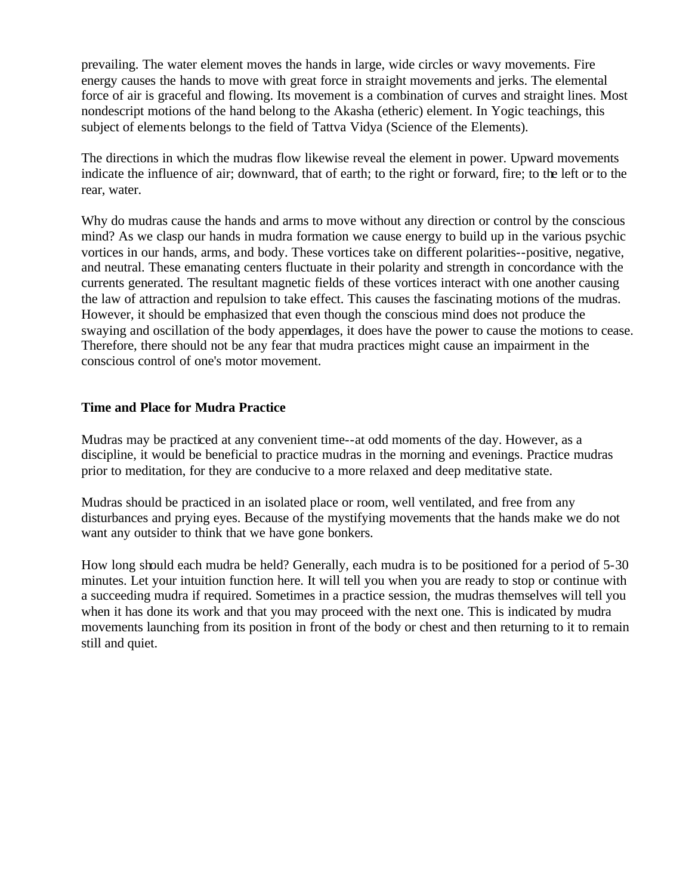prevailing. The water element moves the hands in large, wide circles or wavy movements. Fire energy causes the hands to move with great force in straight movements and jerks. The elemental force of air is graceful and flowing. Its movement is a combination of curves and straight lines. Most nondescript motions of the hand belong to the Akasha (etheric) element. In Yogic teachings, this subject of elements belongs to the field of Tattva Vidya (Science of the Elements).

The directions in which the mudras flow likewise reveal the element in power. Upward movements indicate the influence of air; downward, that of earth; to the right or forward, fire; to the left or to the rear, water.

Why do mudras cause the hands and arms to move without any direction or control by the conscious mind? As we clasp our hands in mudra formation we cause energy to build up in the various psychic vortices in our hands, arms, and body. These vortices take on different polarities--positive, negative, and neutral. These emanating centers fluctuate in their polarity and strength in concordance with the currents generated. The resultant magnetic fields of these vortices interact with one another causing the law of attraction and repulsion to take effect. This causes the fascinating motions of the mudras. However, it should be emphasized that even though the conscious mind does not produce the swaying and oscillation of the body appendages, it does have the power to cause the motions to cease. Therefore, there should not be any fear that mudra practices might cause an impairment in the conscious control of one's motor movement.

## **Time and Place for Mudra Practice**

Mudras may be practiced at any convenient time--at odd moments of the day. However, as a discipline, it would be beneficial to practice mudras in the morning and evenings. Practice mudras prior to meditation, for they are conducive to a more relaxed and deep meditative state.

Mudras should be practiced in an isolated place or room, well ventilated, and free from any disturbances and prying eyes. Because of the mystifying movements that the hands make we do not want any outsider to think that we have gone bonkers.

How long should each mudra be held? Generally, each mudra is to be positioned for a period of 5-30 minutes. Let your intuition function here. It will tell you when you are ready to stop or continue with a succeeding mudra if required. Sometimes in a practice session, the mudras themselves will tell you when it has done its work and that you may proceed with the next one. This is indicated by mudra movements launching from its position in front of the body or chest and then returning to it to remain still and quiet.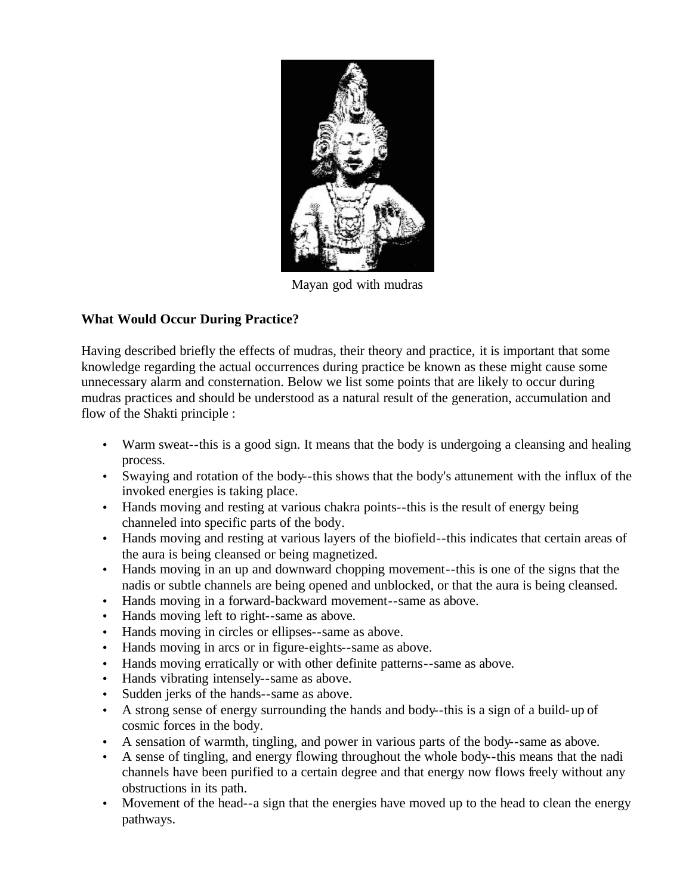

Mayan god with mudras

# **What Would Occur During Practice?**

Having described briefly the effects of mudras, their theory and practice, it is important that some knowledge regarding the actual occurrences during practice be known as these might cause some unnecessary alarm and consternation. Below we list some points that are likely to occur during mudras practices and should be understood as a natural result of the generation, accumulation and flow of the Shakti principle :

- Warm sweat--this is a good sign. It means that the body is undergoing a cleansing and healing process.
- Swaying and rotation of the body--this shows that the body's attunement with the influx of the invoked energies is taking place.
- Hands moving and resting at various chakra points--this is the result of energy being channeled into specific parts of the body.
- Hands moving and resting at various layers of the biofield--this indicates that certain areas of the aura is being cleansed or being magnetized.
- Hands moving in an up and downward chopping movement--this is one of the signs that the nadis or subtle channels are being opened and unblocked, or that the aura is being cleansed.
- Hands moving in a forward-backward movement--same as above.
- Hands moving left to right--same as above.
- Hands moving in circles or ellipses--same as above.
- Hands moving in arcs or in figure-eights--same as above.
- Hands moving erratically or with other definite patterns--same as above.
- Hands vibrating intensely--same as above.
- Sudden jerks of the hands--same as above.
- A strong sense of energy surrounding the hands and body--this is a sign of a build-up of cosmic forces in the body.
- A sensation of warmth, tingling, and power in various parts of the body--same as above.
- A sense of tingling, and energy flowing throughout the whole body--this means that the nadi channels have been purified to a certain degree and that energy now flows freely without any obstructions in its path.
- Movement of the head--a sign that the energies have moved up to the head to clean the energy pathways.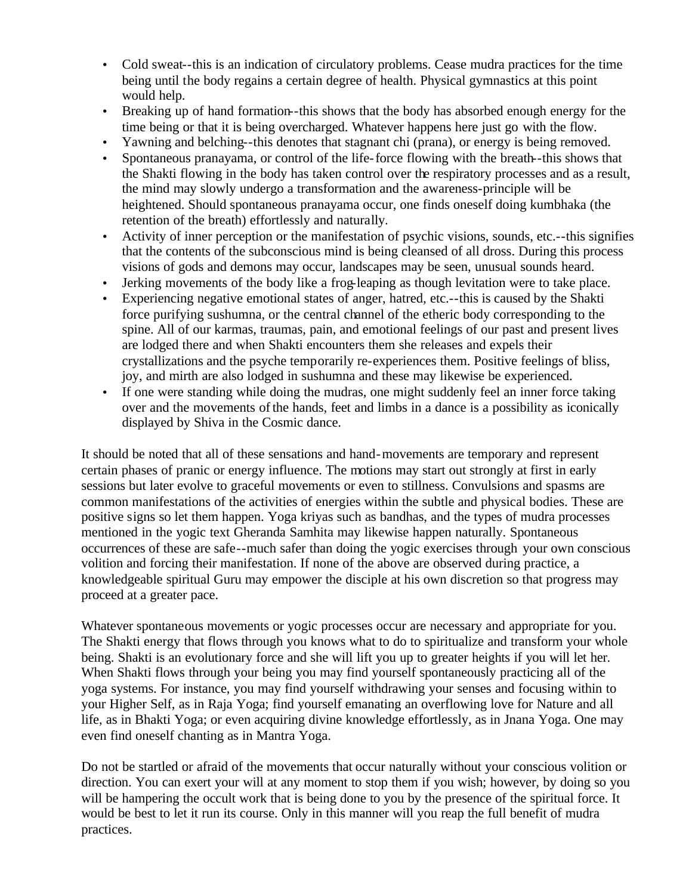- Cold sweat--this is an indication of circulatory problems. Cease mudra practices for the time being until the body regains a certain degree of health. Physical gymnastics at this point would help.
- Breaking up of hand formation-this shows that the body has absorbed enough energy for the time being or that it is being overcharged. Whatever happens here just go with the flow.
- Yawning and belching--this denotes that stagnant chi (prana), or energy is being removed.
- Spontaneous pranayama, or control of the life-force flowing with the breath--this shows that the Shakti flowing in the body has taken control over the respiratory processes and as a result, the mind may slowly undergo a transformation and the awareness-principle will be heightened. Should spontaneous pranayama occur, one finds oneself doing kumbhaka (the retention of the breath) effortlessly and naturally.
- Activity of inner perception or the manifestation of psychic visions, sounds, etc.--this signifies that the contents of the subconscious mind is being cleansed of all dross. During this process visions of gods and demons may occur, landscapes may be seen, unusual sounds heard.
- Jerking movements of the body like a frog-leaping as though levitation were to take place.
- Experiencing negative emotional states of anger, hatred, etc.--this is caused by the Shakti force purifying sushumna, or the central channel of the etheric body corresponding to the spine. All of our karmas, traumas, pain, and emotional feelings of our past and present lives are lodged there and when Shakti encounters them she releases and expels their crystallizations and the psyche temporarily re-experiences them. Positive feelings of bliss, joy, and mirth are also lodged in sushumna and these may likewise be experienced.
- If one were standing while doing the mudras, one might suddenly feel an inner force taking over and the movements of the hands, feet and limbs in a dance is a possibility as iconically displayed by Shiva in the Cosmic dance.

It should be noted that all of these sensations and hand-movements are temporary and represent certain phases of pranic or energy influence. The motions may start out strongly at first in early sessions but later evolve to graceful movements or even to stillness. Convulsions and spasms are common manifestations of the activities of energies within the subtle and physical bodies. These are positive signs so let them happen. Yoga kriyas such as bandhas, and the types of mudra processes mentioned in the yogic text Gheranda Samhita may likewise happen naturally. Spontaneous occurrences of these are safe--much safer than doing the yogic exercises through your own conscious volition and forcing their manifestation. If none of the above are observed during practice, a knowledgeable spiritual Guru may empower the disciple at his own discretion so that progress may proceed at a greater pace.

Whatever spontaneous movements or yogic processes occur are necessary and appropriate for you. The Shakti energy that flows through you knows what to do to spiritualize and transform your whole being. Shakti is an evolutionary force and she will lift you up to greater heights if you will let her. When Shakti flows through your being you may find yourself spontaneously practicing all of the yoga systems. For instance, you may find yourself withdrawing your senses and focusing within to your Higher Self, as in Raja Yoga; find yourself emanating an overflowing love for Nature and all life, as in Bhakti Yoga; or even acquiring divine knowledge effortlessly, as in Jnana Yoga. One may even find oneself chanting as in Mantra Yoga.

Do not be startled or afraid of the movements that occur naturally without your conscious volition or direction. You can exert your will at any moment to stop them if you wish; however, by doing so you will be hampering the occult work that is being done to you by the presence of the spiritual force. It would be best to let it run its course. Only in this manner will you reap the full benefit of mudra practices.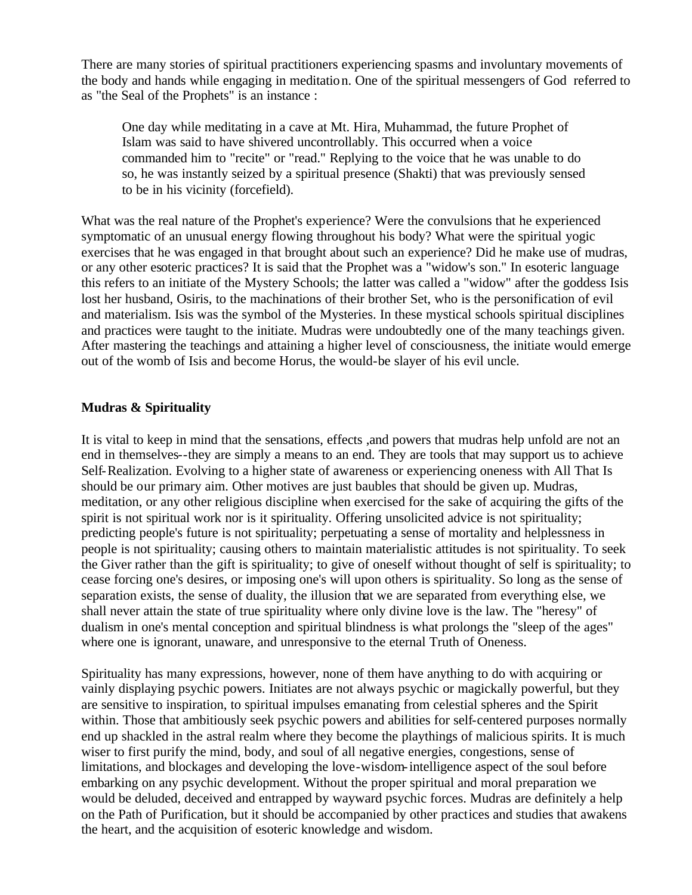There are many stories of spiritual practitioners experiencing spasms and involuntary movements of the body and hands while engaging in meditation. One of the spiritual messengers of God referred to as "the Seal of the Prophets" is an instance :

One day while meditating in a cave at Mt. Hira, Muhammad, the future Prophet of Islam was said to have shivered uncontrollably. This occurred when a voice commanded him to "recite" or "read." Replying to the voice that he was unable to do so, he was instantly seized by a spiritual presence (Shakti) that was previously sensed to be in his vicinity (forcefield).

What was the real nature of the Prophet's experience? Were the convulsions that he experienced symptomatic of an unusual energy flowing throughout his body? What were the spiritual yogic exercises that he was engaged in that brought about such an experience? Did he make use of mudras, or any other esoteric practices? It is said that the Prophet was a "widow's son." In esoteric language this refers to an initiate of the Mystery Schools; the latter was called a "widow" after the goddess Isis lost her husband, Osiris, to the machinations of their brother Set, who is the personification of evil and materialism. Isis was the symbol of the Mysteries. In these mystical schools spiritual disciplines and practices were taught to the initiate. Mudras were undoubtedly one of the many teachings given. After mastering the teachings and attaining a higher level of consciousness, the initiate would emerge out of the womb of Isis and become Horus, the would-be slayer of his evil uncle.

## **Mudras & Spirituality**

It is vital to keep in mind that the sensations, effects ,and powers that mudras help unfold are not an end in themselves--they are simply a means to an end. They are tools that may support us to achieve Self-Realization. Evolving to a higher state of awareness or experiencing oneness with All That Is should be our primary aim. Other motives are just baubles that should be given up. Mudras, meditation, or any other religious discipline when exercised for the sake of acquiring the gifts of the spirit is not spiritual work nor is it spirituality. Offering unsolicited advice is not spirituality; predicting people's future is not spirituality; perpetuating a sense of mortality and helplessness in people is not spirituality; causing others to maintain materialistic attitudes is not spirituality. To seek the Giver rather than the gift is spirituality; to give of oneself without thought of self is spirituality; to cease forcing one's desires, or imposing one's will upon others is spirituality. So long as the sense of separation exists, the sense of duality, the illusion that we are separated from everything else, we shall never attain the state of true spirituality where only divine love is the law. The "heresy" of dualism in one's mental conception and spiritual blindness is what prolongs the "sleep of the ages" where one is ignorant, unaware, and unresponsive to the eternal Truth of Oneness.

Spirituality has many expressions, however, none of them have anything to do with acquiring or vainly displaying psychic powers. Initiates are not always psychic or magickally powerful, but they are sensitive to inspiration, to spiritual impulses emanating from celestial spheres and the Spirit within. Those that ambitiously seek psychic powers and abilities for self-centered purposes normally end up shackled in the astral realm where they become the playthings of malicious spirits. It is much wiser to first purify the mind, body, and soul of all negative energies, congestions, sense of limitations, and blockages and developing the love-wisdom-intelligence aspect of the soul before embarking on any psychic development. Without the proper spiritual and moral preparation we would be deluded, deceived and entrapped by wayward psychic forces. Mudras are definitely a help on the Path of Purification, but it should be accompanied by other practices and studies that awakens the heart, and the acquisition of esoteric knowledge and wisdom.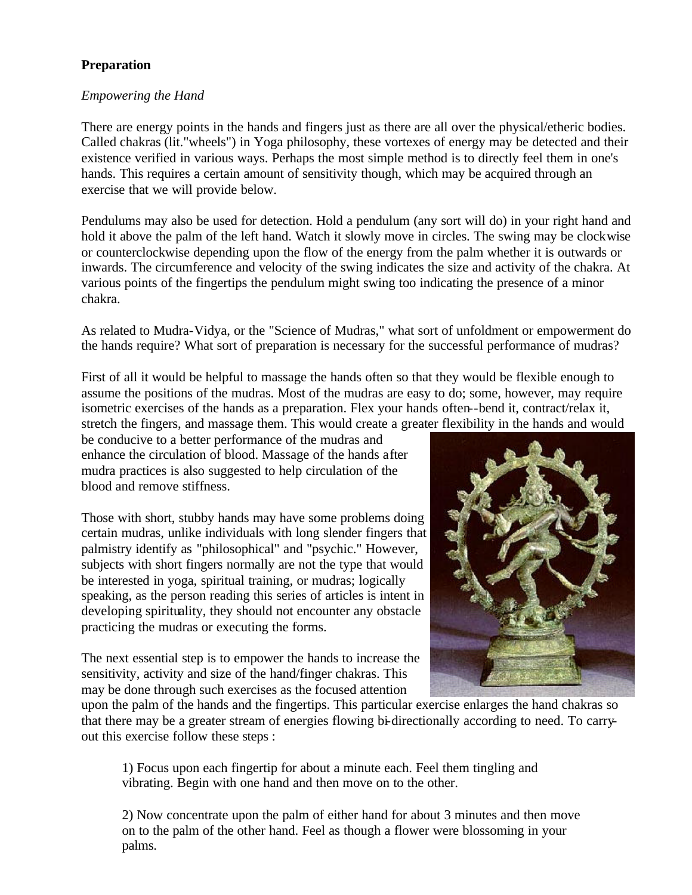# **Preparation**

#### *Empowering the Hand*

There are energy points in the hands and fingers just as there are all over the physical/etheric bodies. Called chakras (lit."wheels") in Yoga philosophy, these vortexes of energy may be detected and their existence verified in various ways. Perhaps the most simple method is to directly feel them in one's hands. This requires a certain amount of sensitivity though, which may be acquired through an exercise that we will provide below.

Pendulums may also be used for detection. Hold a pendulum (any sort will do) in your right hand and hold it above the palm of the left hand. Watch it slowly move in circles. The swing may be clockwise or counterclockwise depending upon the flow of the energy from the palm whether it is outwards or inwards. The circumference and velocity of the swing indicates the size and activity of the chakra. At various points of the fingertips the pendulum might swing too indicating the presence of a minor chakra.

As related to Mudra-Vidya, or the "Science of Mudras," what sort of unfoldment or empowerment do the hands require? What sort of preparation is necessary for the successful performance of mudras?

First of all it would be helpful to massage the hands often so that they would be flexible enough to assume the positions of the mudras. Most of the mudras are easy to do; some, however, may require isometric exercises of the hands as a preparation. Flex your hands often--bend it, contract/relax it, stretch the fingers, and massage them. This would create a greater flexibility in the hands and would

be conducive to a better performance of the mudras and enhance the circulation of blood. Massage of the hands after mudra practices is also suggested to help circulation of the blood and remove stiffness.

Those with short, stubby hands may have some problems doing certain mudras, unlike individuals with long slender fingers that palmistry identify as "philosophical" and "psychic." However, subjects with short fingers normally are not the type that would be interested in yoga, spiritual training, or mudras; logically speaking, as the person reading this series of articles is intent in developing spirituality, they should not encounter any obstacle practicing the mudras or executing the forms.

The next essential step is to empower the hands to increase the sensitivity, activity and size of the hand/finger chakras. This may be done through such exercises as the focused attention



upon the palm of the hands and the fingertips. This particular exercise enlarges the hand chakras so that there may be a greater stream of energies flowing bi-directionally according to need. To carryout this exercise follow these steps :

1) Focus upon each fingertip for about a minute each. Feel them tingling and vibrating. Begin with one hand and then move on to the other.

2) Now concentrate upon the palm of either hand for about 3 minutes and then move on to the palm of the other hand. Feel as though a flower were blossoming in your palms.